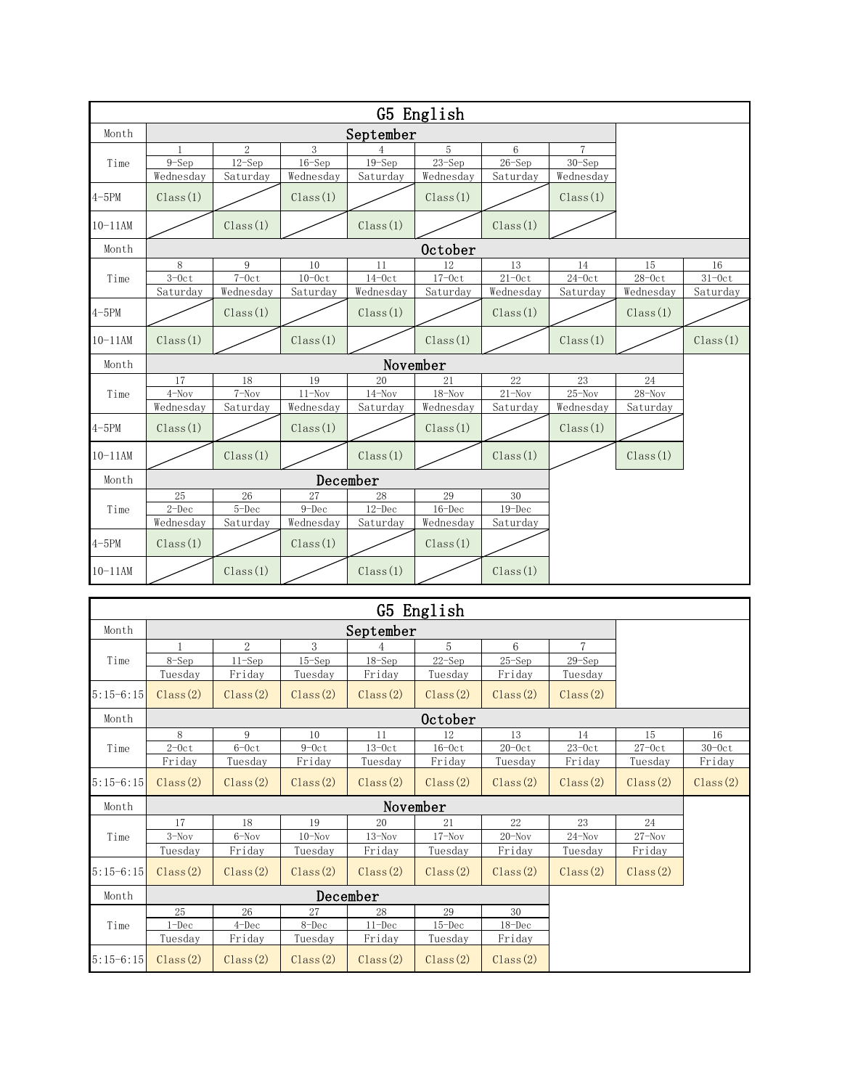| Month       | September                                                                                                                                                                                                                                                                                                                                                                                                                                                                                                                                                                                                                                                                                                                                                                                                                                                                                                                                                                                                                            |                |            |          |            |            |                |            |          |  |  |
|-------------|--------------------------------------------------------------------------------------------------------------------------------------------------------------------------------------------------------------------------------------------------------------------------------------------------------------------------------------------------------------------------------------------------------------------------------------------------------------------------------------------------------------------------------------------------------------------------------------------------------------------------------------------------------------------------------------------------------------------------------------------------------------------------------------------------------------------------------------------------------------------------------------------------------------------------------------------------------------------------------------------------------------------------------------|----------------|------------|----------|------------|------------|----------------|------------|----------|--|--|
|             |                                                                                                                                                                                                                                                                                                                                                                                                                                                                                                                                                                                                                                                                                                                                                                                                                                                                                                                                                                                                                                      | $\overline{2}$ | 3          |          | 5          | 6          | $\overline{7}$ |            |          |  |  |
| Time        | $9-Sep$                                                                                                                                                                                                                                                                                                                                                                                                                                                                                                                                                                                                                                                                                                                                                                                                                                                                                                                                                                                                                              | $12$ -Sep      | $16 - Sep$ |          | $23 - Sep$ | $26 - Sep$ | $30 - Sep$     |            |          |  |  |
|             |                                                                                                                                                                                                                                                                                                                                                                                                                                                                                                                                                                                                                                                                                                                                                                                                                                                                                                                                                                                                                                      |                |            |          |            |            |                |            |          |  |  |
| $4 - 5PM$   | Class(1)                                                                                                                                                                                                                                                                                                                                                                                                                                                                                                                                                                                                                                                                                                                                                                                                                                                                                                                                                                                                                             |                | Class(1)   |          | Class(1)   |            | Class(1)       |            |          |  |  |
| $10 - 11AM$ |                                                                                                                                                                                                                                                                                                                                                                                                                                                                                                                                                                                                                                                                                                                                                                                                                                                                                                                                                                                                                                      | Class(1)       |            | Class(1) |            | Class(1)   |                |            |          |  |  |
| Month       | <b>October</b>                                                                                                                                                                                                                                                                                                                                                                                                                                                                                                                                                                                                                                                                                                                                                                                                                                                                                                                                                                                                                       |                |            |          |            |            |                |            |          |  |  |
|             | 8                                                                                                                                                                                                                                                                                                                                                                                                                                                                                                                                                                                                                                                                                                                                                                                                                                                                                                                                                                                                                                    |                |            |          |            |            | 14             | 15         | 16       |  |  |
|             | G5 English<br>$19-$ Sep<br>Wednesday<br>Wednesday<br>Wednesday<br>Saturday<br>Saturday<br>Wednesday<br>Saturday<br>9<br>10<br>12<br>11<br>13<br>$7-0ct$<br>$10-0ct$<br>$17-0ct$<br>$21 - 0c$ t<br>$24 - 0c$ t<br>$3-0ct$<br>$14-0c$ t<br>Time<br>Wednesday<br>Saturday<br>Wednesday<br>Saturday<br>Wednesday<br>Saturday<br>Saturday<br>Class(1)<br>Class(1)<br>Class(1)<br>Class(1)<br>Class(1)<br>Class(1)<br>Class(1)<br>November<br>22<br>20<br>21<br>23<br>17<br>18<br>19<br>$25-Nov$<br>$7-Nov$<br>$18 - Nov$<br>$21 - Nov$<br>$4-Nov$<br>$11 - Nov$<br>$14 - Nov$<br>Wednesday<br>Saturday<br>Wednesday<br>Saturday<br>Wednesday<br>Saturday<br>Wednesday<br>Class(1)<br>Class(1)<br>Class(1)<br>Class(1)<br>Class(1)<br>Class(1)<br>Class(1)<br>December<br>30<br>26<br>28<br>29<br>25<br>27<br>$12 - Dec$<br>2–Dec<br>$5 - Dec$<br>$9 - Dec$<br>$16 - Dec$<br>$19 - Dec$<br>Wednesday<br>Saturday<br>Wednesday<br>Wednesday<br>Saturday<br>Saturday<br>Class(1)<br>Class(1)<br>Class(1)<br>Class(1)<br>Class(1)<br>Class(1) | $28 - 0c$ t    | $31 - 0ct$ |          |            |            |                |            |          |  |  |
|             |                                                                                                                                                                                                                                                                                                                                                                                                                                                                                                                                                                                                                                                                                                                                                                                                                                                                                                                                                                                                                                      |                |            |          |            |            |                | Wednesday  | Saturday |  |  |
| $4 - 5PM$   |                                                                                                                                                                                                                                                                                                                                                                                                                                                                                                                                                                                                                                                                                                                                                                                                                                                                                                                                                                                                                                      |                |            |          |            |            |                | Class(1)   |          |  |  |
| $10 - 11AM$ |                                                                                                                                                                                                                                                                                                                                                                                                                                                                                                                                                                                                                                                                                                                                                                                                                                                                                                                                                                                                                                      |                |            |          |            |            |                |            | Class(1) |  |  |
| Month       |                                                                                                                                                                                                                                                                                                                                                                                                                                                                                                                                                                                                                                                                                                                                                                                                                                                                                                                                                                                                                                      |                |            |          |            |            |                |            |          |  |  |
|             |                                                                                                                                                                                                                                                                                                                                                                                                                                                                                                                                                                                                                                                                                                                                                                                                                                                                                                                                                                                                                                      |                |            |          |            |            |                | 24         |          |  |  |
| Time        |                                                                                                                                                                                                                                                                                                                                                                                                                                                                                                                                                                                                                                                                                                                                                                                                                                                                                                                                                                                                                                      |                |            |          |            |            |                | $28 -$ Nov |          |  |  |
|             |                                                                                                                                                                                                                                                                                                                                                                                                                                                                                                                                                                                                                                                                                                                                                                                                                                                                                                                                                                                                                                      |                |            |          |            |            |                | Saturday   |          |  |  |
| $4 - 5$ PM  |                                                                                                                                                                                                                                                                                                                                                                                                                                                                                                                                                                                                                                                                                                                                                                                                                                                                                                                                                                                                                                      |                |            |          |            |            |                |            |          |  |  |
| $10 - 11AM$ |                                                                                                                                                                                                                                                                                                                                                                                                                                                                                                                                                                                                                                                                                                                                                                                                                                                                                                                                                                                                                                      |                |            |          |            |            |                | Class(1)   |          |  |  |
| Month       |                                                                                                                                                                                                                                                                                                                                                                                                                                                                                                                                                                                                                                                                                                                                                                                                                                                                                                                                                                                                                                      |                |            |          |            |            |                |            |          |  |  |
|             |                                                                                                                                                                                                                                                                                                                                                                                                                                                                                                                                                                                                                                                                                                                                                                                                                                                                                                                                                                                                                                      |                |            |          |            |            |                |            |          |  |  |
| Time        |                                                                                                                                                                                                                                                                                                                                                                                                                                                                                                                                                                                                                                                                                                                                                                                                                                                                                                                                                                                                                                      |                |            |          |            |            |                |            |          |  |  |
|             |                                                                                                                                                                                                                                                                                                                                                                                                                                                                                                                                                                                                                                                                                                                                                                                                                                                                                                                                                                                                                                      |                |            |          |            |            |                |            |          |  |  |
| $4 - 5$ PM  |                                                                                                                                                                                                                                                                                                                                                                                                                                                                                                                                                                                                                                                                                                                                                                                                                                                                                                                                                                                                                                      |                |            |          |            |            |                |            |          |  |  |
| $10 - 11AM$ |                                                                                                                                                                                                                                                                                                                                                                                                                                                                                                                                                                                                                                                                                                                                                                                                                                                                                                                                                                                                                                      |                |            |          |            |            |                |            |          |  |  |

|             |           |          |            |            | G5 English |            |                |             |             |  |  |
|-------------|-----------|----------|------------|------------|------------|------------|----------------|-------------|-------------|--|--|
| Month       | September |          |            |            |            |            |                |             |             |  |  |
|             |           | 2        | 3          |            | 5          | 6          | $\overline{7}$ |             |             |  |  |
| Time        | $8 - Sep$ | $11-Sep$ | $15 - Sep$ | $18 - Sep$ | $22 - Sep$ | $25 - Sep$ | $29 - Sep$     |             |             |  |  |
|             | Tuesday   | Friday   | Tuesday    | Friday     | Tuesday    | Friday     | Tuesday        |             |             |  |  |
| $5:15-6:15$ | Class(2)  | Class(2) | Class(2)   | Class(2)   | Class(2)   | Class(2)   | Class(2)       |             |             |  |  |
| Month       | October   |          |            |            |            |            |                |             |             |  |  |
|             | 8         | 9        | 10         | 11         | 12         | 13         | 14             | 15          | 16          |  |  |
| Time        | $2 - 0ct$ | $6-0ct$  | $9-0ct$    | $13-0ct$   | $16-0ct$   | $20-0ct$   | $23-0ct$       | $27 - 0c$ t | $30 - 0c$ t |  |  |
|             | Friday    | Tuesday  | Friday     | Tuesday    | Friday     | Tuesday    | Friday         | Tuesday     | Friday      |  |  |
| $5:15-6:15$ | Class(2)  | Class(2) | Class(2)   | Class(2)   | Class(2)   | Class(2)   | Class(2)       | Class(2)    | Class(2)    |  |  |
| Month       |           |          |            |            |            |            |                |             |             |  |  |
|             | 17        | 18       | 19         | 20         | 21         | 22         | 23             | 24          |             |  |  |
| Time        | $3-Nov$   | $6-Nov$  | $10 -$ Nov | $13 - Nov$ | $17 - Nov$ | $20 - Nov$ | $24 - Nov$     | $27 - Nov$  |             |  |  |
|             | Tuesday   | Friday   | Tuesday    | Friday     | Tuesday    | Friday     | Tuesday        | Friday      |             |  |  |
| $5:15-6:15$ | Class(2)  | Class(2) | Class(2)   | Class(2)   | Class(2)   | Class(2)   | Class(2)       | Class(2)    |             |  |  |
| Month       |           |          |            |            |            |            |                |             |             |  |  |
|             | 25        | 26       | 27         | 28         | 29         | 30         |                |             |             |  |  |
| Time        | $1 - Dec$ | $4$ -Dec | 8-Dec      | $11 - Dec$ | $15 - Dec$ | $18 - Dec$ |                |             |             |  |  |
|             | Tuesday   | Friday   | Tuesday    | Friday     | Tuesday    | Friday     |                |             |             |  |  |
| $5:15-6:15$ | Class(2)  | Class(2) | Class(2)   | Class(2)   | Class(2)   | Class(2)   |                |             |             |  |  |